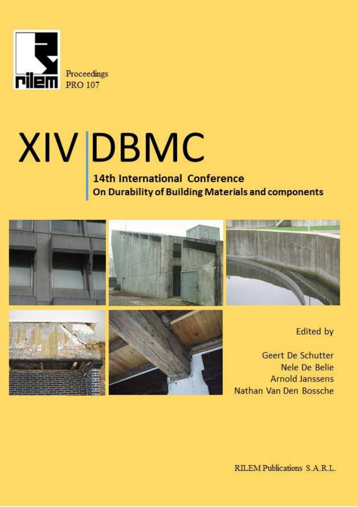

# $XIV$  DBMC<br>14th International Conference<br>On Durability of Building Materials and components

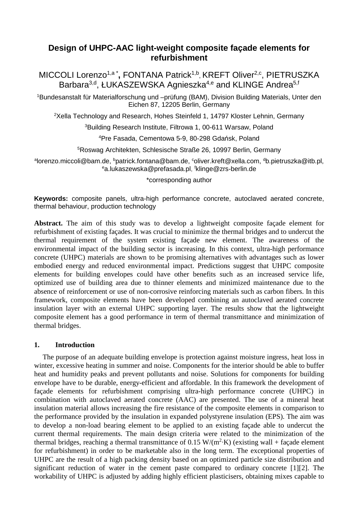# **Design of UHPC-AAC light-weight composite façade elements for refurbishment**

MICCOLI Lorenzo<sup>1,a\*</sup>, FONTANA Patrick<sup>1,b</sup>, KREFT Oliver<sup>2,c</sup>, PIETRUSZKA Barbara<sup>3,d</sup>, ŁUKASZEWSKA Agnieszka<sup>4,e</sup> and KLINGE Andrea<sup>5,f</sup>

<sup>1</sup>Bundesanstalt für Materialforschung und –prüfung (BAM), Division Building Materials, Unter den Eichen 87, 12205 Berlin, Germany

<sup>2</sup>Xella Technology and Research, Hohes Steinfeld 1, 14797 Kloster Lehnin, Germany

<sup>3</sup>Building Research Institute, Filtrowa 1, 00-611 Warsaw, Poland

<sup>4</sup>Pre Fasada, Cementowa 5-9, 80-298 Gdańsk, Poland

<sup>5</sup>Roswag Architekten, Schlesische Straße 26, 10997 Berlin, Germany

<sup>a</sup>lorenzo.miccoli@bam.de, <sup>b</sup>patrick.fontana@bam.de, <sup>c</sup>oliver.kreft@xella.com, <sup>d</sup>b.pietruszka@itb.pl, <sup>e</sup>a.lukaszewska@prefasada.pl, <sup>f</sup>klinge@zrs-berlin.de

\*corresponding author

**Keywords:** composite panels, ultra-high performance concrete, autoclaved aerated concrete, thermal behaviour, production technology

**Abstract.** The aim of this study was to develop a lightweight composite façade element for refurbishment of existing façades. It was crucial to minimize the thermal bridges and to undercut the thermal requirement of the system existing façade new element. The awareness of the environmental impact of the building sector is increasing. In this context, ultra-high performance concrete (UHPC) materials are shown to be promising alternatives with advantages such as lower embodied energy and reduced environmental impact. Predictions suggest that UHPC composite elements for building envelopes could have other benefits such as an increased service life, optimized use of building area due to thinner elements and minimized maintenance due to the absence of reinforcement or use of non-corrosive reinforcing materials such as carbon fibers. In this framework, composite elements have been developed combining an autoclaved aerated concrete insulation layer with an external UHPC supporting layer. The results show that the lightweight composite element has a good performance in term of thermal transmittance and minimization of thermal bridges.

# **1. Introduction**

The purpose of an adequate building envelope is protection against moisture ingress, heat loss in winter, excessive heating in summer and noise. Components for the interior should be able to buffer heat and humidity peaks and prevent pollutants and noise. Solutions for components for building envelope have to be durable, energy-efficient and affordable. In this framework the development of façade elements for refurbishment comprising ultra-high performance concrete (UHPC) in combination with autoclaved aerated concrete (AAC) are presented. The use of a mineral heat insulation material allows increasing the fire resistance of the composite elements in comparison to the performance provided by the insulation in expanded polystyrene insulation (EPS). The aim was to develop a non-load bearing element to be applied to an existing façade able to undercut the current thermal requirements. The main design criteria were related to the minimization of the thermal bridges, reaching a thermal transmittance of  $0.15 \text{ W/(m}^2 \cdot \text{K)}$  (existing wall + façade element for refurbishment) in order to be marketable also in the long term. The exceptional properties of UHPC are the result of a high packing density based on an optimized particle size distribution and significant reduction of water in the cement paste compared to ordinary concrete [1][2]. The workability of UHPC is adjusted by adding highly efficient plasticisers, obtaining mixes capable to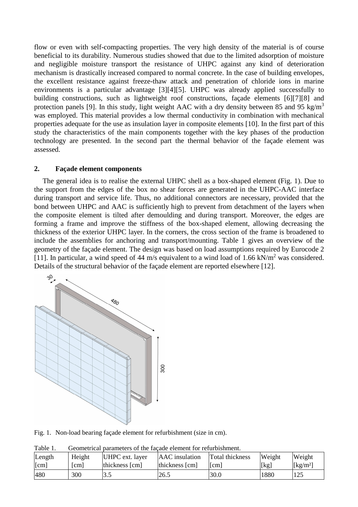flow or even with self-compacting properties. The very high density of the material is of course beneficial to its durability. Numerous studies showed that due to the limited adsorption of moisture and negligible moisture transport the resistance of UHPC against any kind of deterioration mechanism is drastically increased compared to normal concrete. In the case of building envelopes, the excellent resistance against freeze-thaw attack and penetration of chloride ions in marine environments is a particular advantage [3][4][5]. UHPC was already applied successfully to building constructions, such as lightweight roof constructions, façade elements [6][7][8] and protection panels [9]. In this study, light weight AAC with a dry density between 85 and 95 kg/m<sup>3</sup> was employed. This material provides a low thermal conductivity in combination with mechanical properties adequate for the use as insulation layer in composite elements [10]. In the first part of this study the characteristics of the main components together with the key phases of the production technology are presented. In the second part the thermal behavior of the façade element was assessed.

## **2. Façade element components**

The general idea is to realise the external UHPC shell as a box-shaped element (Fig. 1). Due to the support from the edges of the box no shear forces are generated in the UHPC-AAC interface during transport and service life. Thus, no additional connectors are necessary, provided that the bond between UHPC and AAC is sufficiently high to prevent from detachment of the layers when the composite element is tilted after demoulding and during transport. Moreover, the edges are forming a frame and improve the stiffness of the box-shaped element, allowing decreasing the thickness of the exterior UHPC layer. In the corners, the cross section of the frame is broadened to include the assemblies for anchoring and transport/mounting. Table 1 gives an overview of the geometry of the façade element. The design was based on load assumptions required by Eurocode 2 [11]. In particular, a wind speed of 44 m/s equivalent to a wind load of 1.66 kN/m<sup>2</sup> was considered. Details of the structural behavior of the façade element are reported elsewhere [12].



Fig. 1. Non-load bearing façade element for refurbishment (size in cm).

| Length | Height | UHPC ext. layer | AAC insulation | Total thickness | Weight | Weight                         |
|--------|--------|-----------------|----------------|-----------------|--------|--------------------------------|
| [cm]   | [cm]   | thickness [cm]  | thickness [cm] | [cm]            | [kg]   | $\left[\mathrm{kg/m^2}\right]$ |
| 480    | 300    | 3.5             | 26.5           | 30.0            | 1880   | 125                            |

Table 1. Geometrical parameters of the façade element for refurbishment.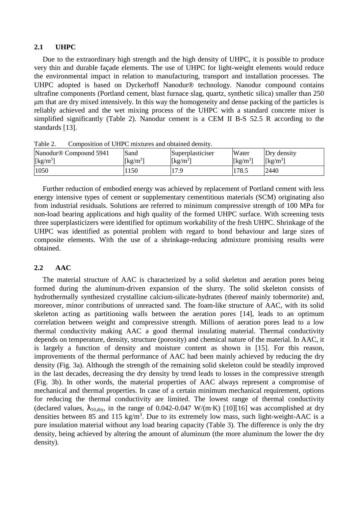#### **2.1 UHPC**

Due to the extraordinary high strength and the high density of UHPC, it is possible to produce very thin and durable façade elements. The use of UHPC for light-weight elements would reduce the environmental impact in relation to manufacturing, transport and installation processes. The UHPC adopted is based on Dyckerhoff Nanodur® technology. Nanodur compound contains ultrafine components (Portland cement, blast furnace slag, quartz, synthetic silica) smaller than 250 µm that are dry mixed intensively. In this way the homogeneity and dense packing of the particles is reliably achieved and the wet mixing process of the UHPC with a standard concrete mixer is simplified significantly (Table 2). Nanodur cement is a CEM II B-S 52.5 R according to the standards [13].

| ***** <i>*</i> *<br><u>composition of eith e minited and commed achieve</u> |                                   |                      |                                |                                |  |  |  |
|-----------------------------------------------------------------------------|-----------------------------------|----------------------|--------------------------------|--------------------------------|--|--|--|
| Nanodur <sup>®</sup> Compound 5941                                          | Sand                              | Superplasticiser     | Water                          | Dry density                    |  |  |  |
| $\left[\text{kg/m}^3\right]$                                                | $\left[\mathrm{kg/m^{31}}\right]$ | [kg/m <sup>3</sup> ] | $\left[\mathrm{kg/m^3}\right]$ | $\left[\mathrm{kg/m^3}\right]$ |  |  |  |
| 1050                                                                        | . 150                             | 17.9                 | 178.5                          | 2440                           |  |  |  |

Table 2. Composition of UHPC mixtures and obtained density.

Further reduction of embodied energy was achieved by replacement of Portland cement with less energy intensive types of cement or supplementary cementitious materials (SCM) originating also from industrial residuals. Solutions are referred to minimum compressive strength of 100 MPa for non-load bearing applications and high quality of the formed UHPC surface. With screening tests three superplasticizers were identified for optimum workability of the fresh UHPC. Shrinkage of the UHPC was identified as potential problem with regard to bond behaviour and large sizes of composite elements. With the use of a shrinkage-reducing admixture promising results were obtained.

# **2.2 AAC**

The material structure of AAC is characterized by a solid skeleton and aeration pores being formed during the aluminum-driven expansion of the slurry. The solid skeleton consists of hydrothermally synthesized crystalline calcium-silicate-hydrates (thereof mainly tobermorite) and, moreover, minor contributions of unreacted sand. The foam-like structure of AAC, with its solid skeleton acting as partitioning walls between the aeration pores [14], leads to an optimum correlation between weight and compressive strength. Millions of aeration pores lead to a low thermal conductivity making AAC a good thermal insulating material. Thermal conductivity depends on temperature, density, structure (porosity) and chemical nature of the material. In AAC, it is largely a function of density and moisture content as shown in [15]. For this reason, improvements of the thermal performance of AAC had been mainly achieved by reducing the dry density (Fig. 3a). Although the strength of the remaining solid skeleton could be steadily improved in the last decades, decreasing the dry density by trend leads to losses in the compressive strength (Fig. 3b). In other words, the material properties of AAC always represent a compromise of mechanical and thermal properties. In case of a certain minimum mechanical requirement, options for reducing the thermal conductivity are limited. The lowest range of thermal conductivity (declared values,  $\lambda_{10, \text{dry}}$ , in the range of 0.042–0.047 W/(m·K) [10][16] was accomplished at dry densities between 85 and 115 kg/m<sup>3</sup>. Due to its extremely low mass, such light-weight-AAC is a pure insulation material without any load bearing capacity (Table 3). The difference is only the dry density, being achieved by altering the amount of aluminum (the more aluminum the lower the dry density).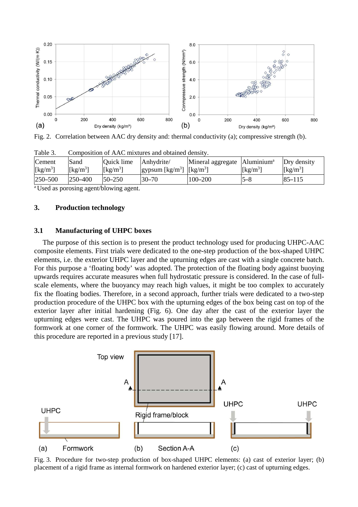

Fig. 2. Correlation between AAC dry density and: thermal conductivity (a); compressive strength (b).

| Table J.                       | Composition of <i>TVT</i> C mixtures and obtained density. |                              |                                                                                                |                                            |                                  |                                |
|--------------------------------|------------------------------------------------------------|------------------------------|------------------------------------------------------------------------------------------------|--------------------------------------------|----------------------------------|--------------------------------|
| Cement                         | Sand                                                       | Quick lime                   | Anhydrite/                                                                                     | Mineral aggregate   Aluminium <sup>a</sup> |                                  | Dry density                    |
| $\left[\mathrm{kg/m^3}\right]$ | $\left[\frac{\text{kg}}{\text{m}^3}\right]$                | $\left[\text{kg/m}^3\right]$ | gypsum $\left[\frac{\text{kg}}{\text{m}^3}\right]$ $\left[\frac{\text{kg}}{\text{m}^3}\right]$ |                                            | $\left[\mathrm{kg/m^{3}}\right]$ | $\left[\mathrm{kg/m^3}\right]$ |
| $250 - 500$                    | $1250 - 400$                                               | $50 - 250$                   | $30 - 70$                                                                                      | $100 - 200$                                | $5 - 8$                          | $85 - 115$                     |

Table 3. Composition of AAC mixtures and obtained density.

<sup>a</sup> Used as porosing agent/blowing agent.

#### **3. Production technology**

#### **3.1 Manufacturing of UHPC boxes**

The purpose of this section is to present the product technology used for producing UHPC-AAC composite elements. First trials were dedicated to the one-step production of the box-shaped UHPC elements, i.e. the exterior UHPC layer and the upturning edges are cast with a single concrete batch. For this purpose a 'floating body' was adopted. The protection of the floating body against buoying upwards requires accurate measures when full hydrostatic pressure is considered. In the case of fullscale elements, where the buoyancy may reach high values, it might be too complex to accurately fix the floating bodies. Therefore, in a second approach, further trials were dedicated to a two-step production procedure of the UHPC box with the upturning edges of the box being cast on top of the exterior layer after initial hardening (Fig. 6). One day after the cast of the exterior layer the upturning edges were cast. The UHPC was poured into the gap between the rigid frames of the formwork at one corner of the formwork. The UHPC was easily flowing around. More details of this procedure are reported in a previous study [17].



Fig. 3. Procedure for two-step production of box-shaped UHPC elements: (a) cast of exterior layer; (b) placement of a rigid frame as internal formwork on hardened exterior layer; (c) cast of upturning edges.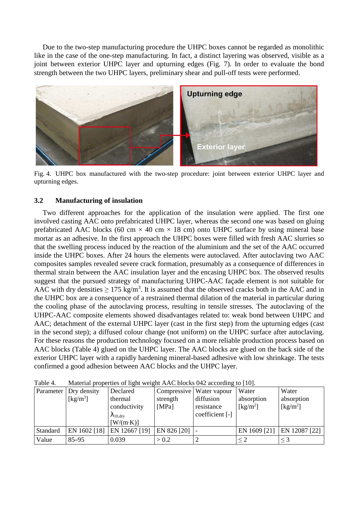Due to the two-step manufacturing procedure the UHPC boxes cannot be regarded as monolithic like in the case of the one-step manufacturing. In fact, a distinct layering was observed, visible as a joint between exterior UHPC layer and upturning edges (Fig. 7). In order to evaluate the bond strength between the two UHPC layers, preliminary shear and pull-off tests were performed.



Fig. 4. UHPC box manufactured with the two-step procedure: joint between exterior UHPC layer and upturning edges.

## **3.2 Manufacturing of insulation**

Two different approaches for the application of the insulation were applied. The first one involved casting AAC onto prefabricated UHPC layer, whereas the second one was based on gluing prefabricated AAC blocks (60 cm  $\times$  40 cm  $\times$  18 cm) onto UHPC surface by using mineral base mortar as an adhesive. In the first approach the UHPC boxes were filled with fresh AAC slurries so that the swelling process induced by the reaction of the aluminium and the set of the AAC occurred inside the UHPC boxes. After 24 hours the elements were autoclaved. After autoclaving two AAC composites samples revealed severe crack formation, presumably as a consequence of differences in thermal strain between the AAC insulation layer and the encasing UHPC box. The observed results suggest that the pursued strategy of manufacturing UHPC-AAC façade element is not suitable for AAC with dry densities  $\geq 175 \text{ kg/m}^3$ . It is assumed that the observed cracks both in the AAC and in the UHPC box are a consequence of a restrained thermal dilation of the material in particular during the cooling phase of the autoclaving process, resulting in tensile stresses. The autoclaving of the UHPC-AAC composite elements showed disadvantages related to: weak bond between UHPC and AAC; detachment of the external UHPC layer (cast in the first step) from the upturning edges (cast in the second step); a diffused colour change (not uniform) on the UHPC surface after autoclaving. For these reasons the production technology focused on a more reliable production process based on AAC blocks (Table 4) glued on the UHPC layer. The AAC blocks are glued on the back side of the exterior UHPC layer with a rapidly hardening mineral-based adhesive with low shrinkage. The tests confirmed a good adhesion between AAC blocks and the UHPC layer.

|          | Parameter   Dry density        | Declared                   |             | Compressive   Water vapour | Water                         | Water                          |
|----------|--------------------------------|----------------------------|-------------|----------------------------|-------------------------------|--------------------------------|
|          | $\left[\mathrm{kg/m^3}\right]$ | thermal                    | strength    | diffusion                  | absorption                    | absorption                     |
|          |                                | conductivity               | [MPa]       | resistance                 | $\lceil \text{kg/m}^2 \rceil$ | $\left[\mathrm{kg/m^2}\right]$ |
|          |                                | $\lambda_{10, \text{dry}}$ |             | coefficient [-]            |                               |                                |
|          |                                | $[W/(m\cdot K)]$           |             |                            |                               |                                |
| Standard | EN 1602 [18]                   | EN 12667 [19]              | EN 826 [20] |                            | EN 1609 [21]                  | EN 12087 [22]                  |
| Value    | $85 - 95$                      | 0.039                      | > 0.2       |                            |                               | $\leq$ 3                       |

Table 4. Material properties of light weight AAC blocks 042 according to [10].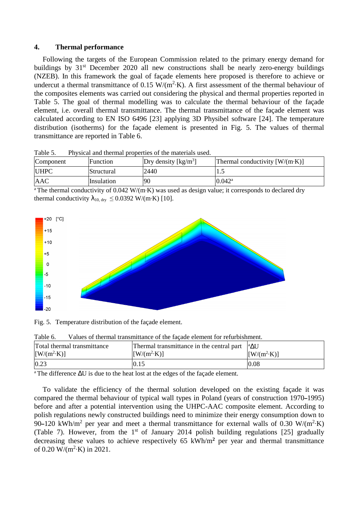#### **4. Thermal performance**

Following the targets of the European Commission related to the primary energy demand for buildings by 31<sup>st</sup> December 2020 all new constructions shall be nearly zero-energy buildings (NZEB). In this framework the goal of façade elements here proposed is therefore to achieve or undercut a thermal transmittance of 0.15  $W/(m^2)$ . A first assessment of the thermal behaviour of the composites elements was carried out considering the physical and thermal properties reported in Table 5. The goal of thermal modelling was to calculate the thermal behaviour of the façade element, i.e. overall thermal transmittance. The thermal transmittance of the façade element was calculated according to EN ISO 6496 [23] applying 3D Physibel software [24]. The temperature distribution (isotherms) for the façade element is presented in Fig. 5. The values of thermal transmittance are reported in Table 6.

| Component   | Function          | $Dry$ density $\left[\frac{kg}{m^3}\right]$ | Thermal conductivity $[W/(m \cdot K)]$ |
|-------------|-------------------|---------------------------------------------|----------------------------------------|
| <b>UHPC</b> | <b>Structural</b> | 2440                                        | ن د                                    |
| <b>AAC</b>  | Insulation        | 90                                          | $0.042^{\rm a}$                        |

Table 5. Physical and thermal properties of the materials used.

<sup>a</sup>The thermal conductivity of 0.042 W/(m·K) was used as design value; it corresponds to declared dry thermal conductivity  $\lambda_{10, \text{ dry}} \leq 0.0392 \text{ W/(m·K)}$  [10].



Fig. 5. Temperature distribution of the façade element.

| <b>TUDIO 0.</b><br>vances of thormal transmittance of the negate cientent for refutershingin. |                                                         |                               |  |  |  |  |
|-----------------------------------------------------------------------------------------------|---------------------------------------------------------|-------------------------------|--|--|--|--|
| Total thermal transmittance                                                                   | Thermal transmittance in the central part $ ^a\Delta U$ |                               |  |  |  |  |
| $\left[\frac{\text{W}}{\text{m}^2}\cdot\text{K}\right]$                                       | $[ W/(m^2 \cdot K) ]$                                   | $\left[\frac{W}{m^2}K\right]$ |  |  |  |  |
| 0.23                                                                                          | 0.15                                                    | 0.08                          |  |  |  |  |

Table 6. Values of thermal transmittance of the façade element for refurbishment.

<sup>a</sup>The difference ∆U is due to the heat lost at the edges of the façade element.

To validate the efficiency of the thermal solution developed on the existing façade it was compared the thermal behaviour of typical wall types in Poland (years of construction 1970**–**1995) before and after a potential intervention using the UHPC-AAC composite element. According to polish regulations newly constructed buildings need to minimize their energy consumption down to 90–120 kWh/m<sup>2</sup> per year and meet a thermal transmittance for external walls of 0.30 W/(m<sup>2</sup>·K) (Table 7). However, from the 1<sup>st</sup> of January 2014 polish building regulations [25] gradually decreasing these values to achieve respectively 65 kWh/m**<sup>2</sup>** per year and thermal transmittance of 0.20 W/( $m^2$ ·K) in 2021.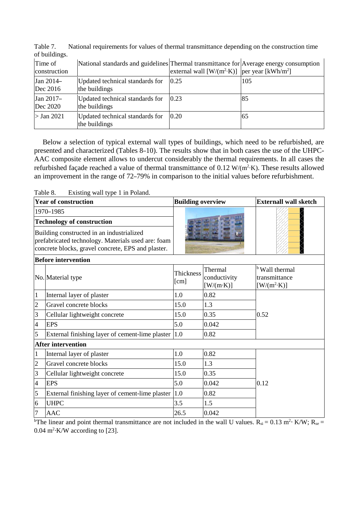| Time of<br>construction | National standards and guidelines Thermal transmittance for Average energy consumption | external wall $[W/(m^2 \cdot K)]$   per year $[kWh/m^2]$ |     |
|-------------------------|----------------------------------------------------------------------------------------|----------------------------------------------------------|-----|
| Jan 2014-<br>Dec 2016   | Updated technical standards for<br>the buildings                                       | 0.25                                                     | 105 |
| Jan 2017-<br>Dec 2020   | Updated technical standards for<br>the buildings                                       | 0.23                                                     | 85  |
| $>$ Jan 2021            | Updated technical standards for<br>the buildings                                       | 0.20                                                     | 65  |

Table 7. National requirements for values of thermal transmittance depending on the construction time of buildings.

Below a selection of typical external wall types of buildings, which need to be refurbished, are presented and characterized (Tables 8–10). The results show that in both cases the use of the UHPC-AAC composite element allows to undercut considerably the thermal requirements. In all cases the refurbished façade reached a value of thermal transmittance of  $0.12 \text{ W/(m}^2 \cdot \text{K})$ . These results allowed an improvement in the range of 72–79% in comparison to the initial values before refurbishment.

Table 8. Existing wall type 1 in Poland.

|                                                                                                                                                       | <b>Year of construction</b>                     | <b>Building overview</b> |                                              | <b>Externall wall sketch</b>                                      |  |
|-------------------------------------------------------------------------------------------------------------------------------------------------------|-------------------------------------------------|--------------------------|----------------------------------------------|-------------------------------------------------------------------|--|
|                                                                                                                                                       | 1970-1985                                       |                          |                                              |                                                                   |  |
| <b>Technology of construction</b>                                                                                                                     |                                                 |                          |                                              |                                                                   |  |
| Building constructed in an industrialized<br>prefabricated technology. Materials used are: foam<br>concrete blocks, gravel concrete, EPS and plaster. |                                                 |                          |                                              |                                                                   |  |
|                                                                                                                                                       | <b>Before intervention</b>                      |                          |                                              |                                                                   |  |
|                                                                                                                                                       | No. Material type                               | Thickness<br>[cm]        | Thermal<br>conductivity<br>$[W/(m \cdot K)]$ | <sup>b</sup> Wall thermal<br>transmittance<br>$[W/(m^2 \cdot K)]$ |  |
| $\mathbf{1}$                                                                                                                                          | Internal layer of plaster                       | 1.0                      | 0.82                                         |                                                                   |  |
| $\overline{c}$                                                                                                                                        | Gravel concrete blocks                          | 15.0                     | 1.3                                          |                                                                   |  |
| 3                                                                                                                                                     | Cellular lightweight concrete                   | 15.0                     | 0.35                                         | 0.52                                                              |  |
| $\overline{4}$                                                                                                                                        | <b>EPS</b>                                      | 5.0                      | 0.042                                        |                                                                   |  |
| 5                                                                                                                                                     | External finishing layer of cement-lime plaster | 1.0                      | 0.82                                         |                                                                   |  |
|                                                                                                                                                       | <b>After intervention</b>                       |                          |                                              |                                                                   |  |
| $\mathbf 1$                                                                                                                                           | Internal layer of plaster                       | 1.0                      | 0.82                                         |                                                                   |  |
| $\overline{2}$                                                                                                                                        | Gravel concrete blocks                          | 15.0                     | 1.3                                          |                                                                   |  |
| 3                                                                                                                                                     | Cellular lightweight concrete                   | 15.0                     | 0.35                                         |                                                                   |  |
| $\overline{4}$                                                                                                                                        | <b>EPS</b>                                      | 5.0                      | 0.042                                        | 0.12                                                              |  |
| 5                                                                                                                                                     | External finishing layer of cement-lime plaster | 1.0                      | 0.82                                         |                                                                   |  |
| 6                                                                                                                                                     | <b>UHPC</b>                                     | 3.5                      | 1.5                                          |                                                                   |  |
| $\overline{7}$                                                                                                                                        | <b>AAC</b>                                      | 26.5                     | 0.042                                        |                                                                   |  |

<sup>b</sup>The linear and point thermal transmittance are not included in the wall U values.  $R_{si} = 0.13$  m<sup>2</sup> $\cdot$  K/W;  $R_{se} =$  $0.04 \text{ m}^2$ ·K/W according to [23].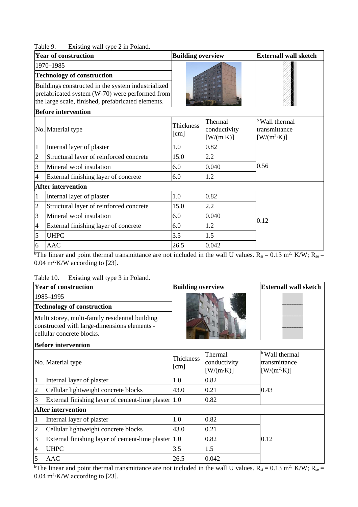| Table 9. | Existing wall type 2 in Poland. |  |  |
|----------|---------------------------------|--|--|
|          |                                 |  |  |

|                | 1 avit 7.<br>$\text{Equation}$ wall type $\angle$ in I orally.<br><b>Year of construction</b>                                                               | <b>Building overview</b> |                                             | <b>Externall wall sketch</b>                                      |  |
|----------------|-------------------------------------------------------------------------------------------------------------------------------------------------------------|--------------------------|---------------------------------------------|-------------------------------------------------------------------|--|
|                | 1970-1985                                                                                                                                                   |                          |                                             |                                                                   |  |
|                | <b>Technology of construction</b>                                                                                                                           |                          |                                             |                                                                   |  |
|                | Buildings constructed in the system industrialized<br>prefabricated system (W-70) were performed from<br>the large scale, finished, prefabricated elements. |                          |                                             |                                                                   |  |
|                | <b>Before intervention</b>                                                                                                                                  |                          |                                             |                                                                   |  |
|                | No. Material type                                                                                                                                           | Thickness<br>[cm]        | Thermal<br>conductivity<br>$[W/(m\cdot K)]$ | <sup>b</sup> Wall thermal<br>transmittance<br>$[W/(m^2 \cdot K)]$ |  |
| $\mathbf{1}$   | Internal layer of plaster                                                                                                                                   | 1.0                      | 0.82                                        |                                                                   |  |
| $\overline{c}$ | Structural layer of reinforced concrete                                                                                                                     | 15.0                     | 2.2                                         |                                                                   |  |
| 3              | Mineral wool insulation                                                                                                                                     | 6.0                      | 0.040                                       | 0.56                                                              |  |
| 4              | External finishing layer of concrete                                                                                                                        | 6.0                      | 1.2                                         |                                                                   |  |
|                | <b>After intervention</b>                                                                                                                                   |                          |                                             |                                                                   |  |
| $\mathbf{1}$   | Internal layer of plaster                                                                                                                                   | 1.0                      | 0.82                                        |                                                                   |  |
| $\overline{c}$ | Structural layer of reinforced concrete                                                                                                                     | 15.0                     | 2.2                                         |                                                                   |  |
| 3              | Mineral wool insulation                                                                                                                                     | 6.0                      | 0.040                                       | 0.12                                                              |  |
| $\overline{4}$ | External finishing layer of concrete                                                                                                                        | 6.0                      | 1.2                                         |                                                                   |  |
| 5              | <b>UHPC</b>                                                                                                                                                 | 3.5                      | 1.5                                         |                                                                   |  |
| 6              | <b>AAC</b>                                                                                                                                                  | 26.5                     | 0.042                                       |                                                                   |  |

<sup>b</sup>The linear and point thermal transmittance are not included in the wall U values.  $R_{si} = 0.13$  m<sup>2</sup> $\cdot$  K/W;  $R_{se} =$  $0.04 \text{ m}^2$ ·K/W according to [23].

Table 10. Existing wall type 3 in Poland.

|                                                                                                                              | <b>Year of construction</b>                         | <b>Building overview</b> |                                             | <b>Externall wall sketch</b>                                                                      |
|------------------------------------------------------------------------------------------------------------------------------|-----------------------------------------------------|--------------------------|---------------------------------------------|---------------------------------------------------------------------------------------------------|
|                                                                                                                              | 1985-1995                                           |                          |                                             |                                                                                                   |
|                                                                                                                              | <b>Technology of construction</b>                   |                          |                                             |                                                                                                   |
| Multi storey, multi-family residential building<br>constructed with large-dimensions elements -<br>cellular concrete blocks. |                                                     |                          |                                             |                                                                                                   |
|                                                                                                                              | <b>Before intervention</b>                          |                          |                                             |                                                                                                   |
|                                                                                                                              | No. Material type                                   | Thickness<br>[cm]        | Thermal<br>conductivity<br>$[W/(m\cdot K)]$ | <sup>b</sup> Wall thermal<br>transmittance<br>$\left[\text{W}/(\text{m}^2 \cdot \text{K})\right]$ |
| $\mathbf{1}$                                                                                                                 | Internal layer of plaster                           | 1.0                      | 0.82                                        |                                                                                                   |
| $\overline{2}$                                                                                                               | Cellular lightweight concrete blocks                | 43.0                     | 0.21                                        | 0.43                                                                                              |
| 3                                                                                                                            | External finishing layer of cement-lime plaster 1.0 |                          | 0.82                                        |                                                                                                   |
|                                                                                                                              | <b>After intervention</b>                           |                          |                                             |                                                                                                   |
| 1                                                                                                                            | Internal layer of plaster                           | 1.0                      | 0.82                                        |                                                                                                   |
| $\overline{2}$                                                                                                               | Cellular lightweight concrete blocks                | 43.0                     | 0.21                                        |                                                                                                   |
| 3                                                                                                                            | External finishing layer of cement-lime plaster 1.0 |                          | 0.82                                        | 0.12                                                                                              |
| $\overline{4}$                                                                                                               | <b>UHPC</b>                                         | 3.5                      | 1.5                                         |                                                                                                   |
| 5                                                                                                                            | <b>AAC</b>                                          | 26.5                     | 0.042                                       |                                                                                                   |

<sup>b</sup>The linear and point thermal transmittance are not included in the wall U values.  $R_{si} = 0.13$  m<sup>2</sup> $\cdot$  K/W;  $R_{se} =$  $0.04 \text{ m}^2$  K/W according to [23].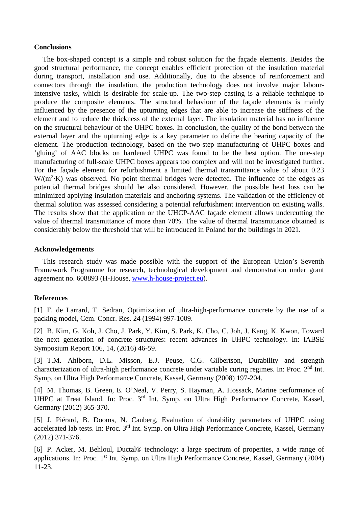#### **Conclusions**

The box-shaped concept is a simple and robust solution for the façade elements. Besides the good structural performance, the concept enables efficient protection of the insulation material during transport, installation and use. Additionally, due to the absence of reinforcement and connectors through the insulation, the production technology does not involve major labourintensive tasks, which is desirable for scale-up. The two-step casting is a reliable technique to produce the composite elements. The structural behaviour of the façade elements is mainly influenced by the presence of the upturning edges that are able to increase the stiffness of the element and to reduce the thickness of the external layer. The insulation material has no influence on the structural behaviour of the UHPC boxes. In conclusion, the quality of the bond between the external layer and the upturning edge is a key parameter to define the bearing capacity of the element. The production technology, based on the two-step manufacturing of UHPC boxes and 'gluing' of AAC blocks on hardened UHPC was found to be the best option. The one-step manufacturing of full-scale UHPC boxes appears too complex and will not be investigated further. For the façade element for refurbishment a limited thermal transmittance value of about 0.23  $W/(m^2·K)$  was observed. No point thermal bridges were detected. The influence of the edges as potential thermal bridges should be also considered. However, the possible heat loss can be minimized applying insulation materials and anchoring systems. The validation of the efficiency of thermal solution was assessed considering a potential refurbishment intervention on existing walls. The results show that the application or the UHCP-AAC façade element allows undercutting the value of thermal transmittance of more than 70%. The value of thermal transmittance obtained is considerably below the threshold that will be introduced in Poland for the buildings in 2021.

#### **Acknowledgements**

This research study was made possible with the support of the European Union's Seventh Framework Programme for research, technological development and demonstration under grant agreement no. 608893 (H-House, www.h-house-project.eu).

#### **References**

[1] F. de Larrard, T. Sedran, Optimization of ultra-high-performance concrete by the use of a packing model, Cem. Concr. Res. 24 (1994) 997-1009.

[2] B. Kim, G. Koh, J. Cho, J. Park, Y. Kim, S. Park, K. Cho, C. Joh, J. Kang, K. Kwon, Toward the next generation of concrete structures: recent advances in UHPC technology. In: IABSE Symposium Report 106, 14, (2016) 46-59.

[3] T.M. Ahlborn, D.L. Misson, E.J. Peuse, C.G. Gilbertson, Durability and strength characterization of ultra-high performance concrete under variable curing regimes. In: Proc. 2nd Int. Symp. on Ultra High Performance Concrete, Kassel, Germany (2008) 197-204.

[4] M. Thomas, B. Green, E. O'Neal, V. Perry, S. Hayman, A. Hossack, Marine performance of UHPC at Treat Island. In: Proc. 3<sup>rd</sup> Int. Symp. on Ultra High Performance Concrete, Kassel, Germany (2012) 365-370.

[5] J. Piérard, B. Dooms, N. Cauberg, Evaluation of durability parameters of UHPC using accelerated lab tests. In: Proc. 3rd Int. Symp. on Ultra High Performance Concrete, Kassel, Germany (2012) 371-376.

[6] P. Acker, M. Behloul, Ductal® technology: a large spectrum of properties, a wide range of applications. In: Proc. 1st Int. Symp. on Ultra High Performance Concrete, Kassel, Germany (2004) 11-23.